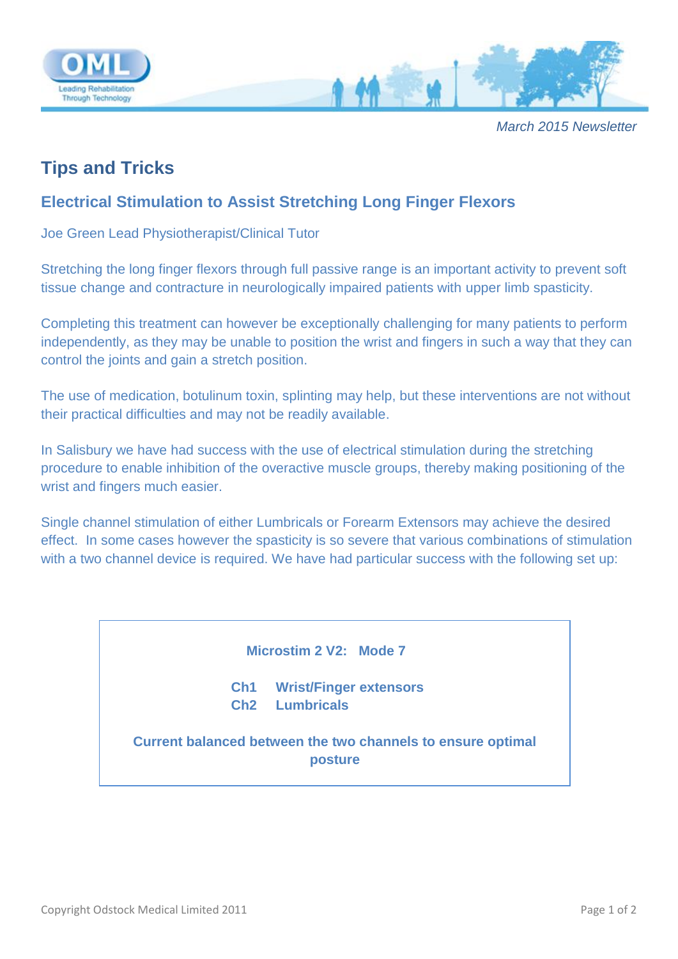

*March 2015 Newsletter*

## **Tips and Tricks**

## **Electrical Stimulation to Assist Stretching Long Finger Flexors**

Joe Green Lead Physiotherapist/Clinical Tutor

Stretching the long finger flexors through full passive range is an important activity to prevent soft tissue change and contracture in neurologically impaired patients with upper limb spasticity.

Completing this treatment can however be exceptionally challenging for many patients to perform independently, as they may be unable to position the wrist and fingers in such a way that they can control the joints and gain a stretch position.

The use of medication, botulinum toxin, splinting may help, but these interventions are not without their practical difficulties and may not be readily available.

In Salisbury we have had success with the use of electrical stimulation during the stretching procedure to enable inhibition of the overactive muscle groups, thereby making positioning of the wrist and fingers much easier.

Single channel stimulation of either Lumbricals or Forearm Extensors may achieve the desired effect. In some cases however the spasticity is so severe that various combinations of stimulation with a two channel device is required. We have had particular success with the following set up:

 **Microstim 2 V2: Mode 7**

**Ch1 Wrist/Finger extensors Ch2 Lumbricals**

**Current balanced between the two channels to ensure optimal posture**